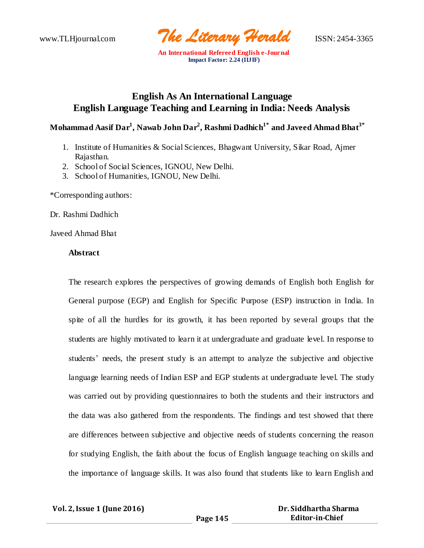

# **English As An International Language English Language Teaching and Learning in India: Needs Analysis**

## **Mohammad Aasif Dar<sup>1</sup> , Nawab John Dar<sup>2</sup> , Rashmi Dadhich1\* and Javeed Ahmad Bhat3\***

- 1. Institute of Humanities & Social Sciences, Bhagwant University, Sikar Road, Ajmer Rajasthan.
- 2. School of Social Sciences, IGNOU, New Delhi.
- 3. School of Humanities, IGNOU, New Delhi.

\*Corresponding authors:

Dr. Rashmi Dadhich

Javeed Ahmad Bhat

## **Abstract**

The research explores the perspectives of growing demands of English both English for General purpose (EGP) and English for Specific Purpose (ESP) instruction in India. In spite of all the hurdles for its growth, it has been reported by several groups that the students are highly motivated to learn it at undergraduate and graduate level. In response to students' needs, the present study is an attempt to analyze the subjective and objective language learning needs of Indian ESP and EGP students at undergraduate level. The study was carried out by providing questionnaires to both the students and their instructors and the data was also gathered from the respondents. The findings and test showed that there are differences between subjective and objective needs of students concerning the reason for studying English, the faith about the focus of English language teaching on skills and the importance of language skills. It was also found that students like to learn English and

| <b>Vol. 2, Issue 1 (June 2016)</b> |  |  |
|------------------------------------|--|--|
|------------------------------------|--|--|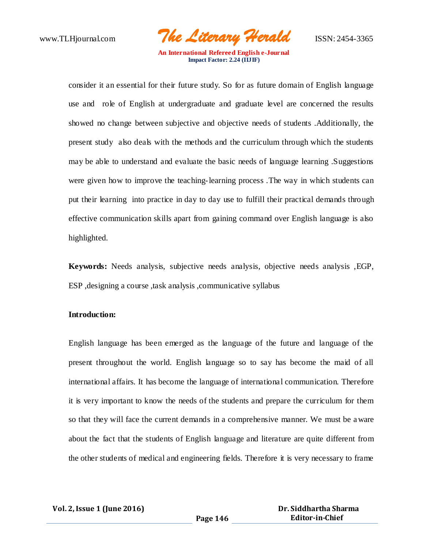www.TLHjournal.com *The Literary Herald*ISSN: 2454-3365

consider it an essential for their future study. So for as future domain of English language use and role of English at undergraduate and graduate level are concerned the results showed no change between subjective and objective needs of students .Additionally, the present study also deals with the methods and the curriculum through which the students may be able to understand and evaluate the basic needs of language learning .Suggestions were given how to improve the teaching-learning process .The way in which students can put their learning into practice in day to day use to fulfill their practical demands through effective communication skills apart from gaining command over English language is also highlighted.

**Keywords:** Needs analysis, subjective needs analysis, objective needs analysis ,EGP, ESP ,designing a course ,task analysis ,communicative syllabus

### **Introduction:**

English language has been emerged as the language of the future and language of the present throughout the world. English language so to say has become the maid of all international affairs. It has become the language of internationa l communication. Therefore it is very important to know the needs of the students and prepare the curriculum for them so that they will face the current demands in a comprehensive manner. We must be aware about the fact that the students of English language and literature are quite different from the other students of medical and engineering fields. Therefore it is very necessary to frame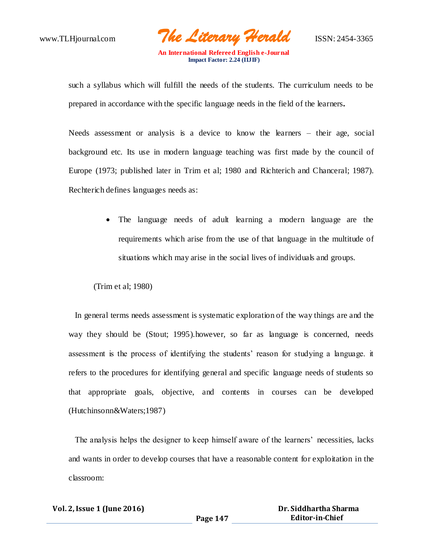www.TLHjournal.com *The Literary Herald*ISSN: 2454-3365

such a syllabus which will fulfill the needs of the students. The curriculum needs to be prepared in accordance with the specific language needs in the field of the learners**.**

Needs assessment or analysis is a device to know the learners – their age, social background etc. Its use in modern language teaching was first made by the council of Europe (1973; published later in Trim et al; 1980 and Richterich and Chanceral; 1987). Rechterich defines languages needs as:

> The language needs of adult learning a modern language are the requirements which arise from the use of that language in the multitude of situations which may arise in the social lives of individuals and groups.

(Trim et al; 1980)

In general terms needs assessment is systematic exploration of the way things are and the way they should be (Stout; 1995).however, so far as language is concerned, needs assessment is the process of identifying the students' reason for studying a language. it refers to the procedures for identifying general and specific language needs of students so that appropriate goals, objective, and contents in courses can be developed (Hutchinsonn&Waters;1987)

The analysis helps the designer to keep himself aware of the learners' necessities, lacks and wants in order to develop courses that have a reasonable content for exploitation in the classroom:

| Vol. 2, Issue 1 (June 2016) |          | Dr. Siddhartha Sharma  |
|-----------------------------|----------|------------------------|
|                             | Page 147 | <b>Editor-in-Chief</b> |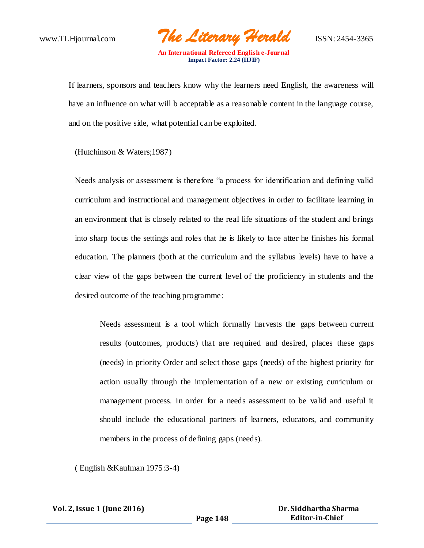www.TLHjournal.com *The Literary Herald*ISSN: 2454-3365

If learners, sponsors and teachers know why the learners need English, the awareness will have an influence on what will b acceptable as a reasonable content in the language course, and on the positive side, what potential can be exploited.

(Hutchinson & Waters;1987)

Needs analysis or assessment is therefore "a process for identification and defining valid curriculum and instructional and management objectives in order to facilitate learning in an environment that is closely related to the real life situations of the student and brings into sharp focus the settings and roles that he is likely to face after he finishes his formal education. The planners (both at the curriculum and the syllabus levels) have to have a clear view of the gaps between the current level of the proficiency in students and the desired outcome of the teaching programme:

Needs assessment is a tool which formally harvests the gaps between current results (outcomes, products) that are required and desired, places these gaps (needs) in priority Order and select those gaps (needs) of the highest priority for action usually through the implementation of a new or existing curriculum or management process. In order for a needs assessment to be valid and useful it should include the educational partners of learners, educators, and community members in the process of defining gaps (needs).

( English &Kaufman 1975:3-4)

|  | Vol. 2, Issue 1 (June 2016) |  |  |
|--|-----------------------------|--|--|
|--|-----------------------------|--|--|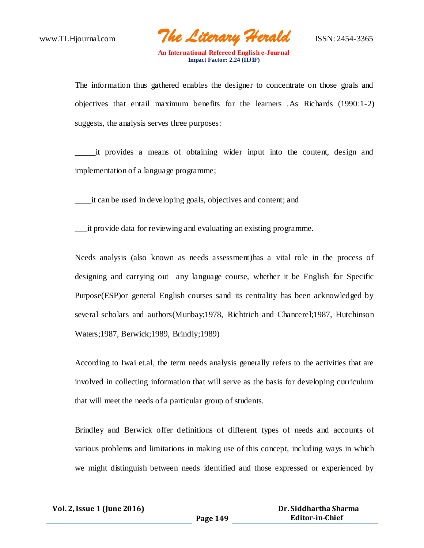www.TLHjournal.com *The Literary Herald*ISSN: 2454-3365

The information thus gathered enables the designer to concentrate on those goals and objectives that entail maximum benefits for the learners .As Richards (1990:1-2) suggests, the analysis serves three purposes:

\_\_\_\_\_it provides a means of obtaining wider input into the content, design and implementation of a language programme;

\_\_\_\_it can be used in developing goals, objectives and content; and

\_\_\_it provide data for reviewing and evaluating an existing programme.

Needs analysis (also known as needs assessment)has a vital role in the process of designing and carrying out any language course, whether it be English for Specific Purpose(ESP)or general English courses sand its centrality has been acknowledged by several scholars and authors(Munbay;1978, Richtrich and Chancerel;1987, Hutchinson Waters;1987, Berwick;1989, Brindly;1989)

According to Iwai et.al, the term needs analysis generally refers to the activities that are involved in collecting information that will serve as the basis for developing curriculum that will meet the needs of a particular group of students.

Brindley and Berwick offer definitions of different types of needs and accounts of various problems and limitations in making use of this concept, including ways in which we might distinguish between needs identified and those expressed or experienced by

| Vol. 2, Issue 1 (June 2016) |          | Dr. Siddhartha Sharma  |
|-----------------------------|----------|------------------------|
|                             | Page 149 | <b>Editor-in-Chief</b> |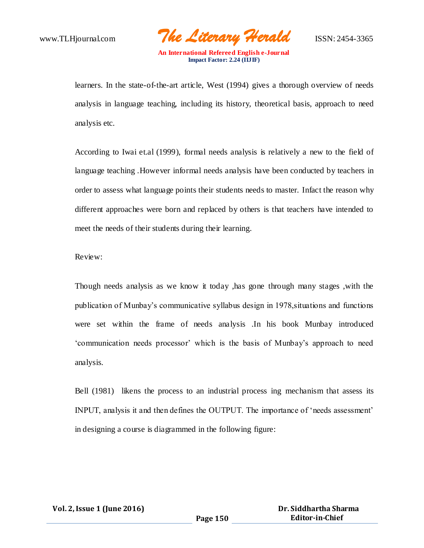www.TLHjournal.com *The Literary Herald*ISSN: 2454-3365

learners. In the state-of-the-art article, West (1994) gives a thorough overview of needs analysis in language teaching, including its history, theoretical basis, approach to need analysis etc.

According to Iwai et.al (1999), formal needs analysis is relatively a new to the field of language teaching .However informal needs analysis have been conducted by teachers in order to assess what language points their students needs to master. Infact the reason why different approaches were born and replaced by others is that teachers have intended to meet the needs of their students during their learning.

Review:

Though needs analysis as we know it today ,has gone through many stages ,with the publication of Munbay's communicative syllabus design in 1978,situations and functions were set within the frame of needs analysis .In his book Munbay introduced 'communication needs processor' which is the basis of Munbay's approach to need analysis.

Bell (1981) likens the process to an industrial process ing mechanism that assess its INPUT, analysis it and then defines the OUTPUT. The importance of 'needs assessment' in designing a course is diagrammed in the following figure: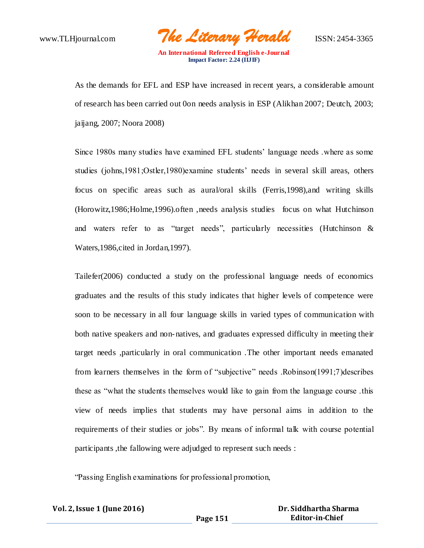www.TLHjournal.com *The Literary Herald*ISSN: 2454-3365

As the demands for EFL and ESP have increased in recent years, a considerable amount of research has been carried out 0on needs analysis in ESP (Alikhan 2007; Deutch, 2003; jaijang, 2007; Noora 2008)

Since 1980s many studies have examined EFL students' language needs .where as some studies (johns,1981;Ostler,1980)examine students' needs in several skill areas, others focus on specific areas such as aural/oral skills (Ferris,1998),and writing skills (Horowitz,1986;Holme,1996).often ,needs analysis studies focus on what Hutchinson and waters refer to as "target needs", particularly necessities (Hutchinson & Waters,1986,cited in Jordan,1997).

Tailefer(2006) conducted a study on the professional language needs of economics graduates and the results of this study indicates that higher levels of competence were soon to be necessary in all four language skills in varied types of communication with both native speakers and non-natives, and graduates expressed difficulty in meeting their target needs ,particularly in oral communication .The other important needs emanated from learners themselves in the form of "subjective" needs .Robinson(1991;7)describes these as "what the students themselves would like to gain from the language course .this view of needs implies that students may have personal aims in addition to the requirements of their studies or jobs". By means of informal talk with course potential participants ,the fallowing were adjudged to represent such needs :

"Passing English examinations for professional promotion,

| Vol. 2, Issue 1 (June 2016) |          | Dr. Siddhartha Sharma  |
|-----------------------------|----------|------------------------|
|                             | Page 151 | <b>Editor-in-Chief</b> |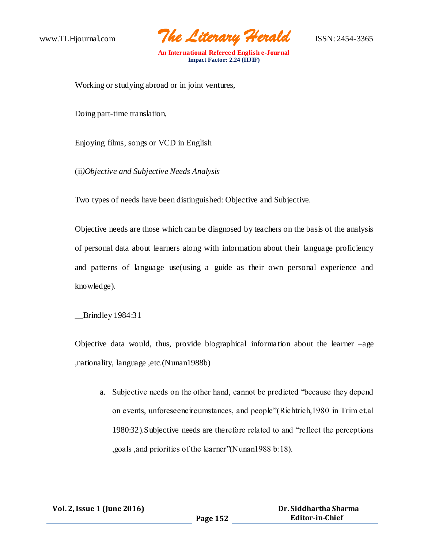www.TLHjournal.com *The Literary Herald*ISSN: 2454-3365

Working or studying abroad or in joint ventures,

Doing part-time translation,

Enjoying films, songs or VCD in English

(ii*)Objective and Subjective Needs Analysis*

Two types of needs have been distinguished: Objective and Subjective.

Objective needs are those which can be diagnosed by teachers on the basis of the analysis of personal data about learners along with information about their language proficiency and patterns of language use(using a guide as their own personal experience and knowledge).

\_\_Brindley 1984:31

Objective data would, thus, provide biographical information about the learner –age ,nationality, language ,etc.(Nunan1988b)

a. Subjective needs on the other hand, cannot be predicted "because they depend on events, unforeseencircumstances, and people"(Richtrich,1980 in Trim et.al 1980:32).Subjective needs are therefore related to and "reflect the perceptions ,goals ,and priorities of the learner"(Nunan1988 b:18).

| Vol. 2, Issue 1 (June 2016) |          | Dr. Siddhartha Sharma  |
|-----------------------------|----------|------------------------|
|                             | Page 152 | <b>Editor-in-Chief</b> |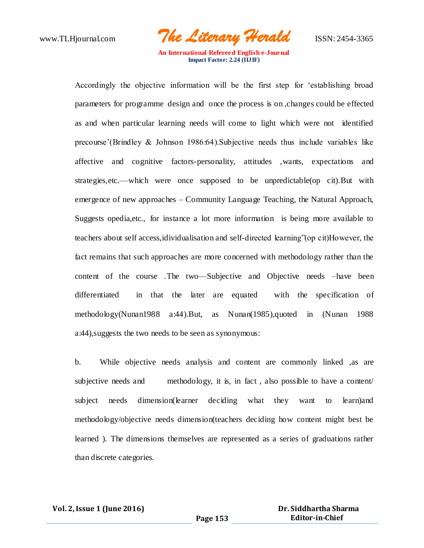www.TLHjournal.com *The Literary Herald*ISSN: 2454-3365

Accordingly the objective information will be the first step for 'establishing broad parameters for programme design and once the process is on ,changes could be effected as and when particular learning needs will come to light which were not identified precourse'(Brindley & Johnson 1986:64).Subjective needs thus include variables like affective and cognitive factors-personality, attitudes ,wants, expectations and strategies,etc.—which were once supposed to be unpredictable(op cit).But with emergence of new approaches – Community Language Teaching, the Natural Approach, Suggests opedia,etc., for instance a lot more information is being more available to teachers about self access,idividualisation and self-directed learning"(op cit)However, the fact remains that such approaches are more concerned with methodology rather than the content of the course .The two—Subjective and Objective needs –have been differentiated in that the later are equated with the specification of methodology(Nunan1988 a:44).But, as Nunan(1985),quoted in (Nunan 1988 a:44),suggests the two needs to be seen as synonymous:

b. While objective needs analysis and content are commonly linked , as are subjective needs and methodology, it is, in fact, also possible to have a content subject needs dimension(learner deciding what they want to learn)and methodology/objective needs dimension(teachers deciding how content might best be learned ). The dimensions themselves are represented as a series of graduations rather than discrete categories.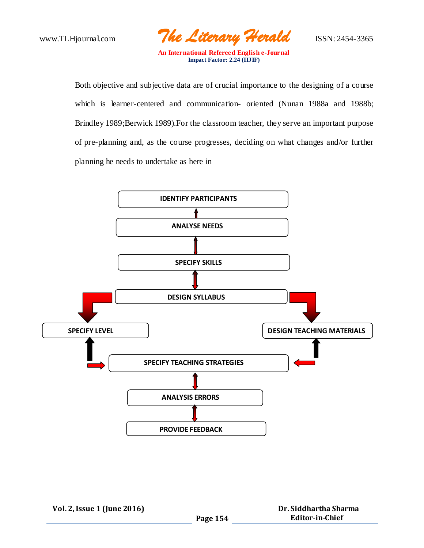www.TLHjournal.com *The Literary Herald*ISSN: 2454-3365

Both objective and subjective data are of crucial importance to the designing of a course which is learner-centered and communication- oriented (Nunan 1988a and 1988b; Brindley 1989;Berwick 1989).For the classroom teacher, they serve an important purpose of pre-planning and, as the course progresses, deciding on what changes and/or further planning he needs to undertake as here in

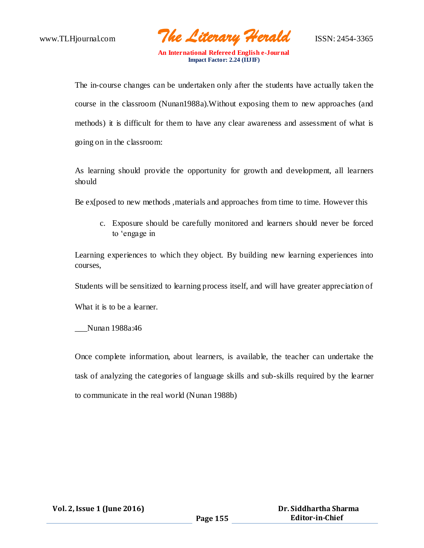www.TLHjournal.com *The Literary Herald*ISSN: 2454-3365

The in-course changes can be undertaken only after the students have actually taken the course in the classroom (Nunan1988a).Without exposing them to new approaches (and methods) it is difficult for them to have any clear awareness and assessment of what is going on in the classroom:

As learning should provide the opportunity for growth and development, all learners should

Be ex[posed to new methods, materials and approaches from time to time. However this

c. Exposure should be carefully monitored and learners should never be forced to 'engage in

Learning experiences to which they object. By building new learning experiences into courses,

Students will be sensitized to learning process itself, and will have greater appreciation of

What it is to be a learner.

\_\_\_Nunan 1988a:46

Once complete information, about learners, is available, the teacher can undertake the task of analyzing the categories of language skills and sub-skills required by the learner to communicate in the real world (Nunan 1988b)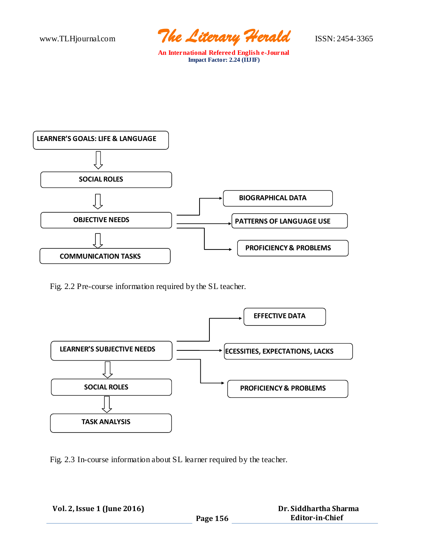www.TLHjournal.com *The Literary Herald*ISSN: 2454-3365



Fig. 2.2 Pre-course information required by the SL teacher.



Fig. 2.3 In-course information about SL learner required by the teacher.

| Vol. 2, Issue 1 (June 2016) |          | Dr. Siddhartha Sharma  |
|-----------------------------|----------|------------------------|
|                             | Page 156 | <b>Editor-in-Chief</b> |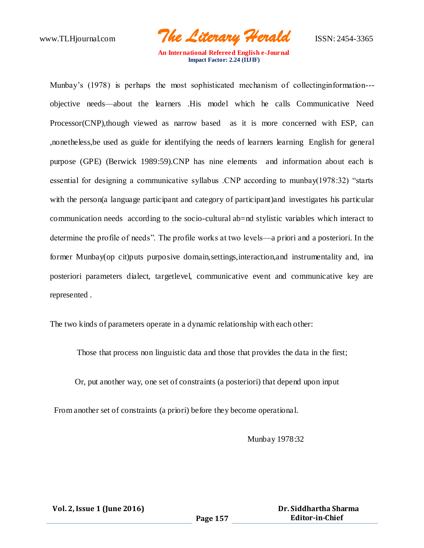www.TLHjournal.com *The Literary Herald*ISSN: 2454-3365

Munbay's (1978) is perhaps the most sophisticated mechanism of collecting information--objective needs—about the learners .His model which he calls Communicative Need Processor(CNP),though viewed as narrow based as it is more concerned with ESP, can ,nonetheless,be used as guide for identifying the needs of learners learning English for general purpose (GPE) (Berwick 1989:59).CNP has nine elements and information about each is essential for designing a communicative syllabus .CNP according to munbay(1978:32) "starts with the person(a language participant and category of participant)and investigates his particular communication needs according to the socio-cultural ab=nd stylistic variables which interact to determine the profile of needs". The profile works at two levels—a priori and a posteriori. In the former Munbay(op cit)puts purposive domain,settings,interaction,and instrumentality and, ina posteriori parameters dialect, targetlevel, communicative event and communicative key are represented .

The two kinds of parameters operate in a dynamic relationship with each other:

Those that process non linguistic data and those that provides the data in the first;

Or, put another way, one set of constraints (a posteriori) that depend upon input

From another set of constraints (a priori) before they become operationa l.

Munbay 1978:32

 **Vol. 2, Issue 1 (June 2016)**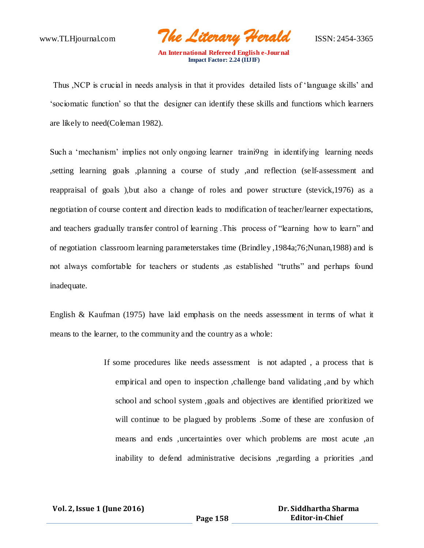www.TLHjournal.com *The Literary Herald*ISSN: 2454-3365

Thus ,NCP is crucial in needs analysis in that it provides detailed lists of 'language skills' and 'sociomatic function' so that the designer can identify these skills and functions which learners are likely to need(Coleman 1982).

Such a 'mechanism' implies not only ongoing learner traini9ng in identifying learning needs ,setting learning goals ,planning a course of study ,and reflection (se lf-assessment and reappraisal of goals ),but also a change of roles and power structure (stevick,1976) as a negotiation of course content and direction leads to modification of teacher/learner expectations, and teachers gradually transfer control of learning .This process of "learning how to learn" and of negotiation classroom learning parameterstakes time (Brindley ,1984a;76;Nunan,1988) and is not always comfortable for teachers or students ,as established "truths" and perhaps found inadequate.

English & Kaufman (1975) have laid emphasis on the needs assessment in terms of what it means to the learner, to the community and the country as a whole:

> If some procedures like needs assessment is not adapted , a process that is empirical and open to inspection ,challenge band validating ,and by which school and school system ,goals and objectives are identified prioritized we will continue to be plagued by problems .Some of these are :confusion of means and ends ,uncertainties over which problems are most acute ,an inability to defend administrative decisions ,regarding a priorities ,and

| Vol. 2, Issue 1 (June 2016) |          | Dr. Siddhartha Sharma  |
|-----------------------------|----------|------------------------|
|                             | Page 158 | <b>Editor-in-Chief</b> |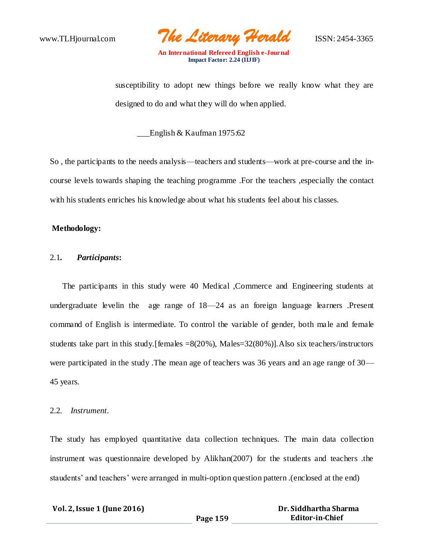www.TLHjournal.com *The Literary Herald*ISSN: 2454-3365

susceptibility to adopt new things before we really know what they are designed to do and what they will do when applied.

\_\_\_English & Kaufman 1975:62

So , the participants to the needs analysis—teachers and students—work at pre-course and the incourse levels towards shaping the teaching programme .For the teachers ,especially the contact with his students enriches his knowledge about what his students feel about his classes.

#### **Methodology:**

#### 2.1*. Participants***:**

 The participants in this study were 40 Medical ,Commerce and Engineering students at undergraduate levelin the age range of 18—24 as an foreign language learners .Present command of English is intermediate. To control the variable of gender, both ma le and female students take part in this study.[females =8(20%), Males=32(80%)].Also six teachers/instructors were participated in the study .The mean age of teachers was 36 years and an age range of 30— 45 years.

#### 2.2*. Instrument.*

The study has employed quantitative data collection techniques. The main data collection instrument was questionnaire developed by Alikhan(2007) for the students and teachers .the staudents' and teachers' were arranged in multi-option question pattern .(enclosed at the end)

| Vol. 2, Issue 1 (June 2016) |          | Dr. Siddhartha Sharma  |
|-----------------------------|----------|------------------------|
|                             | Page 159 | <b>Editor-in-Chief</b> |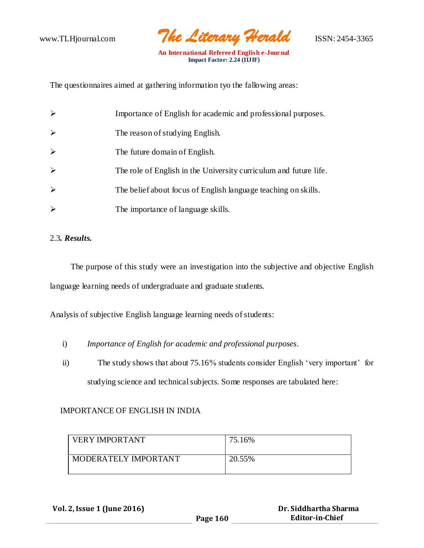

The questionnaires aimed at gathering information tyo the fallowing areas:

| $\blacktriangleright$ | Importance of English for academic and professional purposes.     |
|-----------------------|-------------------------------------------------------------------|
| $\blacktriangleright$ | The reason of studying English.                                   |
| $\blacktriangleright$ | The future domain of English.                                     |
| $\blacktriangleright$ | The role of English in the University curriculum and future life. |
| $\blacktriangleright$ | The belief about focus of English language teaching on skills.    |
| $\blacktriangleright$ | The importance of language skills.                                |

## 2.3*. Results.*

 The purpose of this study were an investigation into the subjective and objective English language learning needs of undergraduate and graduate students.

Analysis of subjective English language learning needs of students:

- i) *Importance of English for academic and professional purposes*.
- ii) The study shows that about 75.16% students consider English 'very important' for studying science and technical subjects. Some responses are tabulated here:

## IMPORTANCE OF ENGLISH IN INDIA

| <b>VERY IMPORTANT</b> | 75.16% |
|-----------------------|--------|
| MODERATELY IMPORTANT  | 20.55% |

 **Vol. 2, Issue 1 (June 2016)**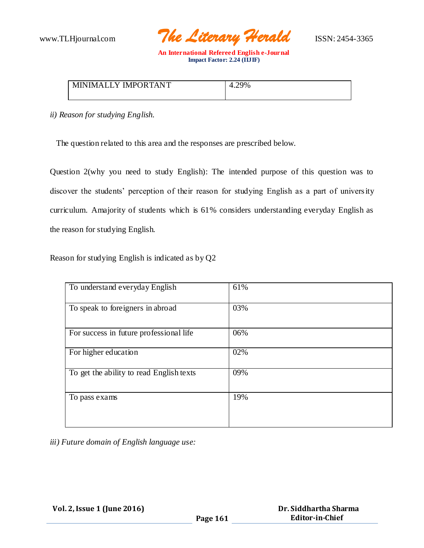

| Y IMPORTANT      | 4.29% |
|------------------|-------|
| <b>MINIMALLY</b> | Λ     |
|                  |       |

*ii) Reason for studying English.*

The question related to this area and the responses are prescribed below.

Question 2(why you need to study English): The intended purpose of this question was to discover the students' perception of their reason for studying English as a part of university curriculum. Amajority of students which is 61% considers understanding everyday English as the reason for studying English.

Reason for studying English is indicated as by Q2

| To understand everyday English           | 61% |
|------------------------------------------|-----|
| To speak to foreigners in abroad         | 03% |
| For success in future professional life  | 06% |
| For higher education                     | 02% |
| To get the ability to read English texts | 09% |
| To pass exams                            | 19% |

*iii) Future domain of English language use:*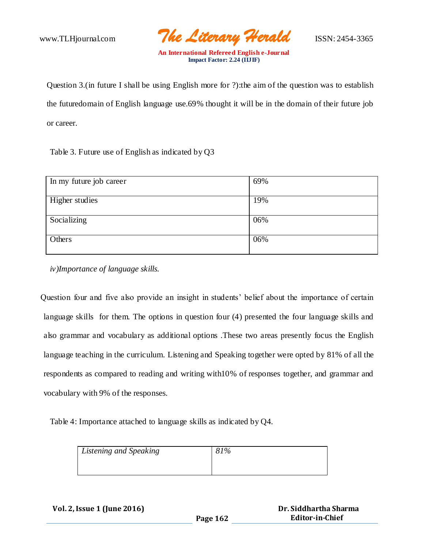www.TLHjournal.com *The Literary Herald*ISSN: 2454-3365

Question 3.(in future I shall be using English more for ?):the aim of the question was to establish the futuredomain of English language use.69% thought it will be in the domain of their future job or career.

Table 3. Future use of English as indicated by Q3

| In my future job career | 69% |
|-------------------------|-----|
|                         |     |
| Higher studies          | 19% |
|                         |     |
| Socializing             | 06% |
|                         |     |
| Others                  | 06% |
|                         |     |

*iv)Importance of language skills.*

Question four and five also provide an insight in students' belief about the importance of certain language skills for them. The options in question four (4) presented the four language skills and also grammar and vocabulary as additional options .These two areas presently focus the English language teaching in the curriculum. Listening and Speaking together were opted by 81% of all the respondents as compared to reading and writing with10% of responses together, and grammar and vocabulary with 9% of the responses.

Table 4: Importance attached to language skills as indicated by Q4.

| Listening and Speaking | 81% |
|------------------------|-----|
|                        |     |

| Vol. 2, Issue 1 (June 2016) |          | Dr. Siddhartha Sharma |
|-----------------------------|----------|-----------------------|
|                             | Page 162 | Editor-in-Chief       |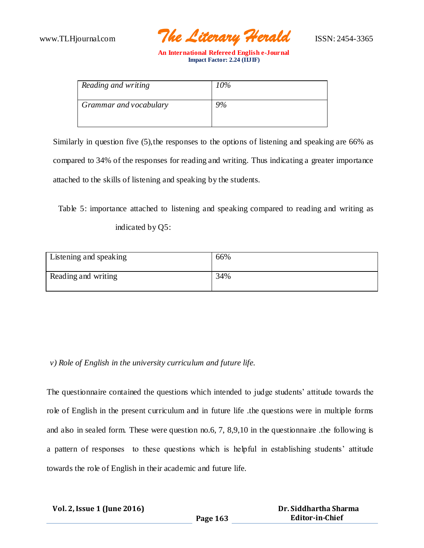

| Reading and writing    | 10% |
|------------------------|-----|
| Grammar and vocabulary | 9%  |

Similarly in question five (5),the responses to the options of listening and speaking are 66% as compared to 34% of the responses for reading and writing. Thus indicating a greater importance attached to the skills of listening and speaking by the students.

 Table 5: importance attached to listening and speaking compared to reading and writing as indicated by Q5:

| Listening and speaking | 66% |
|------------------------|-----|
| Reading and writing    | 34% |

*v) Role of English in the university curriculum and future life.*

The questionnaire contained the questions which intended to judge students' attitude towards the role of English in the present curriculum and in future life .the questions were in multiple forms and also in sealed form. These were question no.6, 7, 8,9,10 in the questionnaire .the following is a pattern of responses to these questions which is helpful in establishing students' attitude towards the role of English in their academic and future life.

| Vol. 2, Issue 1 (June 2016) | Dr. Siddhartha Sharma |                        |
|-----------------------------|-----------------------|------------------------|
|                             | Page 163              | <b>Editor-in-Chief</b> |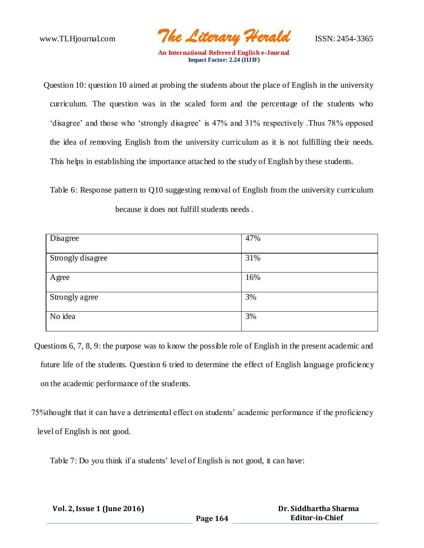www.TLHjournal.com *The Literary Herald*ISSN: 2454-3365

Question 10: question 10 aimed at probing the students about the place of English in the university curriculum. The question was in the scaled form and the percentage of the students who 'disagree' and those who 'strongly disagree' is 47% and 31% respectively .Thus 78% opposed the idea of removing English from the university curriculum as it is not fulfilling their needs. This helps in establishing the importance attached to the study of English by these students.

Table 6: Response pattern to Q10 suggesting removal of English from the university curriculum because it does not fulfill students needs .

| Disagree          | 47% |
|-------------------|-----|
|                   |     |
| Strongly disagree | 31% |
|                   |     |
| Agree             | 16% |
|                   |     |
|                   | 3%  |
|                   |     |
| No idea           | 3%  |
|                   |     |
| Strongly agree    |     |

Questions 6, 7, 8, 9: the purpose was to know the possible role of English in the present academic and future life of the students. Question 6 tried to determine the effect of English language proficiency on the academic performance of the students.

 75%thought that it can have a detrimental effect on students' academic performance if the proficiency level of English is not good.

Table 7: Do you think if a students' level of English is not good, it can have:

| Vol. 2, Issue 1 (June 2016) |          | Dr. Siddhartha Sharma  |
|-----------------------------|----------|------------------------|
|                             | Page 164 | <b>Editor-in-Chief</b> |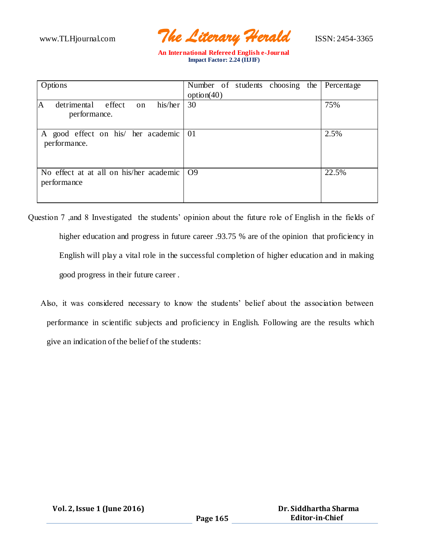www.TLHjournal.com *The Literary Herald*ISSN: 2454-3365

| Options                                                  | Number of students choosing the<br>option(40) | Percentage |
|----------------------------------------------------------|-----------------------------------------------|------------|
| his/her<br>detrimental effect<br>on<br>A<br>performance. | 30                                            | 75%        |
| A good effect on his/ her academic<br>performance.       | 01                                            | 2.5%       |
| No effect at at all on his/her academic<br>performance   | O <sub>9</sub>                                | 22.5%      |

- Question 7 ,and 8 Investigated the students' opinion about the future role of English in the fields of higher education and progress in future career .93.75 % are of the opinion that proficiency in English will play a vital role in the successful completion of higher education and in making good progress in their future career .
	- Also, it was considered necessary to know the students' belief about the association between performance in scientific subjects and proficiency in English. Following are the results which give an indication of the belief of the students: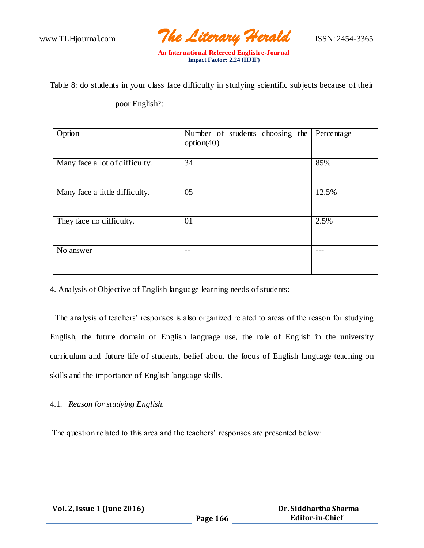www.TLHjournal.com *The Literary Herald*ISSN: 2454-3365

Table 8: do students in your class face difficulty in studying scientific subjects because of their

## poor English?:

| Option                         | Number of students choosing the<br>option(40) | Percentage |
|--------------------------------|-----------------------------------------------|------------|
| Many face a lot of difficulty. | 34                                            | 85%        |
| Many face a little difficulty. | 05                                            | 12.5%      |
| They face no difficulty.       | 01                                            | 2.5%       |
| No answer                      |                                               |            |

4. Analysis of Objective of English language learning needs of students:

 The analysis of teachers' responses is also organized related to areas of the reason for studying English, the future domain of English language use, the role of English in the university curriculum and future life of students, belief about the focus of English language teaching on skills and the importance of English language skills.

## 4.1*. Reason for studying English.*

The question related to this area and the teachers' responses are presented below: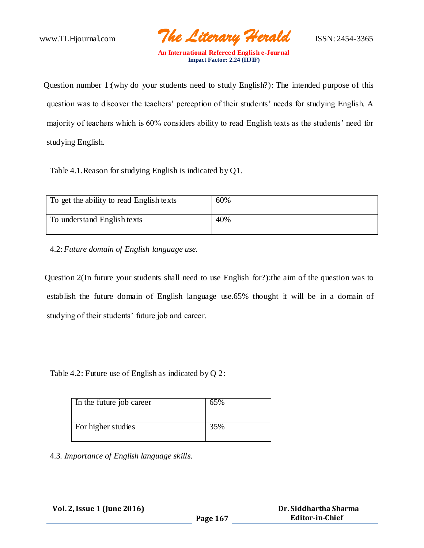www.TLHjournal.com *The Literary Herald*ISSN: 2454-3365

Question number 1:(why do your students need to study English?): The intended purpose of this question was to discover the teachers' perception of their students' needs for studying English. A majority of teachers which is 60% considers ability to read English texts as the students' need for studying English.

Table 4.1.Reason for studying English is indicated by Q1.

| To get the ability to read English texts | 60% |
|------------------------------------------|-----|
| To understand English texts              | 40% |

4.2: *Future domain of English language use.*

 Question 2(In future your students shall need to use English for?):the aim of the question was to establish the future domain of English language use.65% thought it will be in a domain of studying of their students' future job and career.

Table 4.2: Future use of English as indicated by Q 2:

| In the future job career | 65% |
|--------------------------|-----|
| For higher studies       | 35% |
|                          |     |

4.3*. Importance of English language skills.*

| Vol. 2, Issue 1 (June 2016) |  |
|-----------------------------|--|
|-----------------------------|--|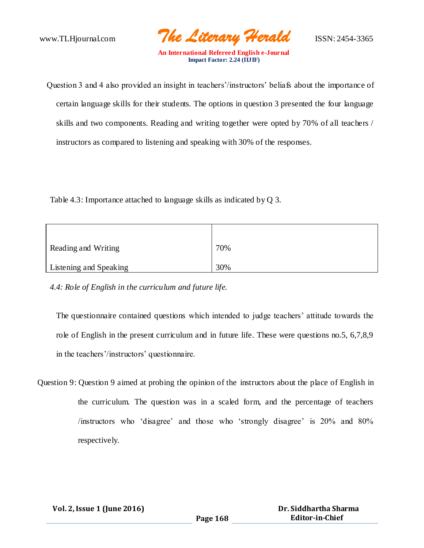www.TLHjournal.com *The Literary Herald*ISSN: 2454-3365

Question 3 and 4 also provided an insight in teachers'/instructors' beliafs about the importance of certain language skills for their students. The options in question 3 presented the four language skills and two components. Reading and writing together were opted by 70% of all teachers / instructors as compared to listening and speaking with 30% of the responses.

Table 4.3: Importance attached to language skills as indicated by Q 3.

| Reading and Writing    | 70% |
|------------------------|-----|
| Listening and Speaking | 30% |

*4.4: Role of English in the curriculum and future life.*

The questionnaire contained questions which intended to judge teachers' attitude towards the role of English in the present curriculum and in future life. These were questions no.5, 6,7,8,9 in the teachers'/instructors' questionnaire.

Question 9: Question 9 aimed at probing the opinion of the instructors about the place of English in the curriculum. The question was in a scaled form, and the percentage of teachers /instructors who 'disagree' and those who 'strongly disagree' is 20% and 80% respectively.

| Vol. 2, Issue 1 (June 2016) |          | Dr. Siddhartha Sharma  |
|-----------------------------|----------|------------------------|
|                             | Page 168 | <b>Editor-in-Chief</b> |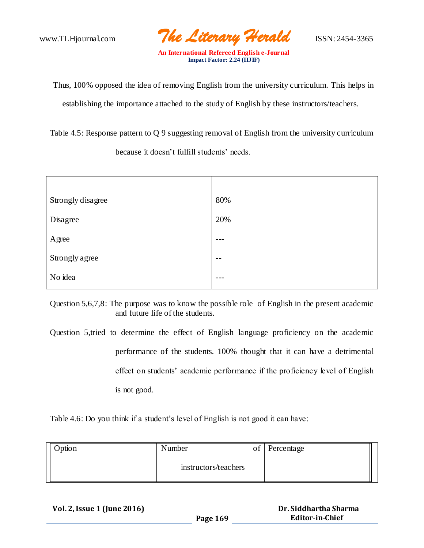www.TLHjournal.com *The Literary Herald*ISSN: 2454-3365

Thus, 100% opposed the idea of removing English from the university curriculum. This helps in establishing the importance attached to the study of English by these instructors/teachers.

Table 4.5: Response pattern to Q 9 suggesting removal of English from the university curriculum because it doesn't fulfill students' needs.

| Strongly disagree | 80%     |
|-------------------|---------|
| Disagree          | 20%     |
| Agree             | $- - -$ |
| Strongly agree    | $- -$   |
| No idea           | $- - -$ |

Question 5,6,7,8: The purpose was to know the possible role of English in the present academic and future life of the students.

Question 5,tried to determine the effect of English language proficiency on the academic performance of the students. 100% thought that it can have a detrimental effect on students' academic performance if the proficiency level of English is not good.

Table 4.6: Do you think if a student's level of English is not good it can have:

| Option | Number               | of Percentage |  |
|--------|----------------------|---------------|--|
|        | instructors/teachers |               |  |

 **Vol. 2, Issue 1 (June 2016)**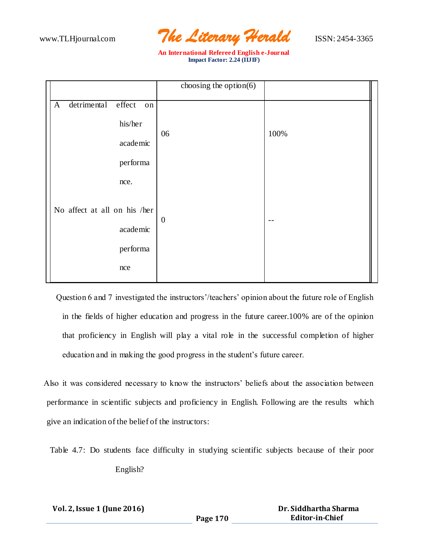

| choosing the option $(6)$ |          |
|---------------------------|----------|
|                           |          |
|                           |          |
|                           | 100%     |
|                           |          |
|                           |          |
|                           |          |
|                           |          |
| $\boldsymbol{0}$          |          |
|                           |          |
|                           |          |
|                           |          |
|                           | on<br>06 |

Question 6 and 7 investigated the instructors'/teachers' opinion about the future role of English in the fields of higher education and progress in the future career.100% are of the opinion that proficiency in English will play a vital role in the successful completion of higher education and in making the good progress in the student's future career.

Also it was considered necessary to know the instructors' beliefs about the association between performance in scientific subjects and proficiency in English. Following are the results which give an indication of the belief of the instructors:

Table 4.7: Do students face difficulty in studying scientific subjects because of their poor English?

| Vol. 2, Issue 1 (June 2016) |          | Dr. Siddhartha Sharma |
|-----------------------------|----------|-----------------------|
|                             | Page 170 | Editor-in-Chief       |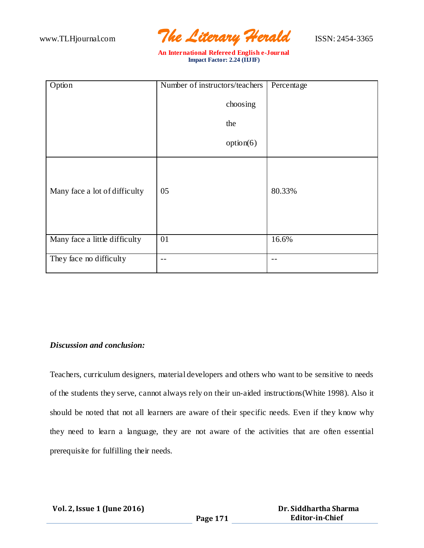www.TLHjournal.com *The Literary Herald*ISSN: 2454-3365

| Option                        | Number of instructors/teachers | Percentage |
|-------------------------------|--------------------------------|------------|
|                               | choosing                       |            |
|                               | the                            |            |
|                               | option(6)                      |            |
| Many face a lot of difficulty | 05                             | 80.33%     |
| Many face a little difficulty | 01                             | 16.6%      |
| They face no difficulty       | --                             | $- -$      |

#### *Discussion and conclusion:*

Teachers, curriculum designers, material developers and others who want to be sensitive to needs of the students they serve, cannot always rely on their un-aided instructions(White 1998). Also it should be noted that not all learners are aware of their specific needs. Even if they know why they need to learn a language, they are not aware of the activities that are often essential prerequisite for fulfilling their needs.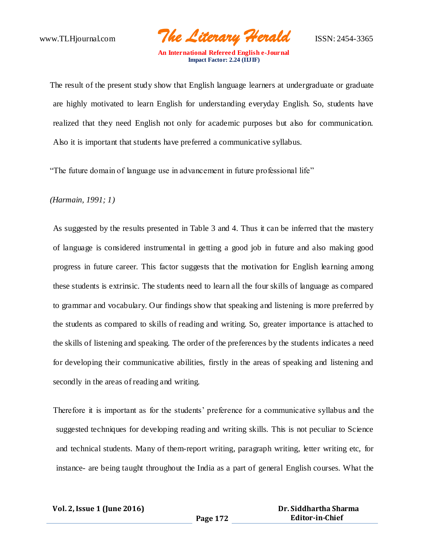www.TLHjournal.com *The Literary Herald*ISSN: 2454-3365

The result of the present study show that English language learners at undergraduate or graduate are highly motivated to learn English for understanding everyday English. So, students have realized that they need English not only for academic purposes but also for communication. Also it is important that students have preferred a communicative syllabus.

"The future domain of language use in advancement in future professional life"

*(Harmain, 1991; 1)*

As suggested by the results presented in Table 3 and 4. Thus it can be inferred that the mastery of language is considered instrumental in getting a good job in future and also making good progress in future career. This factor suggests that the motivation for English learning among these students is extrinsic. The students need to learn all the four skills of language as compared to grammar and vocabulary. Our findings show that speaking and listening is more preferred by the students as compared to skills of reading and writing. So, greater importance is attached to the skills of listening and speaking. The order of the preferences by the students indicates a need for developing their communicative abilities, firstly in the areas of speaking and listening and secondly in the areas of reading and writing.

Therefore it is important as for the students' preference for a communicative syllabus and the suggested techniques for developing reading and writing skills. This is not peculiar to Science and technical students. Many of them-report writing, paragraph writing, letter writing etc, for instance- are being taught throughout the India as a part of general English courses. What the

| <b>Vol. 2, Issue 1 (June 2016)</b> |  |  |  |
|------------------------------------|--|--|--|
|------------------------------------|--|--|--|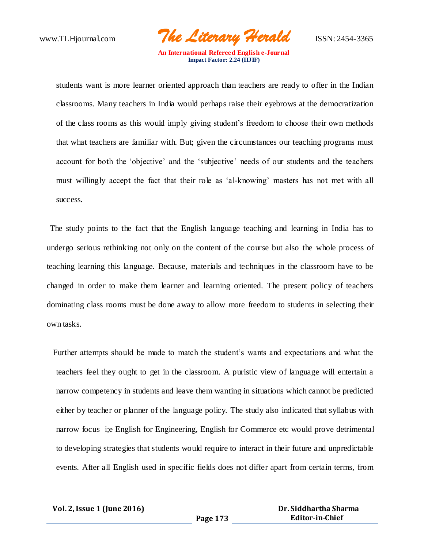www.TLHjournal.com *The Literary Herald*ISSN: 2454-3365

students want is more learner oriented approach than teachers are ready to offer in the Indian classrooms. Many teachers in India would perhaps raise their eyebrows at the democratization of the class rooms as this would imply giving student's freedom to choose their own methods that what teachers are familiar with. But; given the circumstances our teaching programs must account for both the 'objective' and the 'subjective' needs of our students and the teachers must willingly accept the fact that their role as 'al-knowing' masters has not met with all success.

The study points to the fact that the English language teaching and learning in India has to undergo serious rethinking not only on the content of the course but also the whole process of teaching learning this language. Because, materials and techniques in the classroom have to be changed in order to make them learner and learning oriented. The present policy of teachers dominating class rooms must be done away to allow more freedom to students in selecting their own tasks.

Further attempts should be made to match the student's wants and expectations and what the teachers feel they ought to get in the classroom. A puristic view of language will entertain a narrow competency in students and leave them wanting in situations which cannot be predicted either by teacher or planner of the language policy. The study also indicated that syllabus with narrow focus i;e English for Engineering, English for Commerce etc would prove detrimental to developing strategies that students would require to interact in their future and unpredictable events. After all English used in specific fields does not differ apart from certain terms, from

 **Vol. 2, Issue 1 (June 2016)**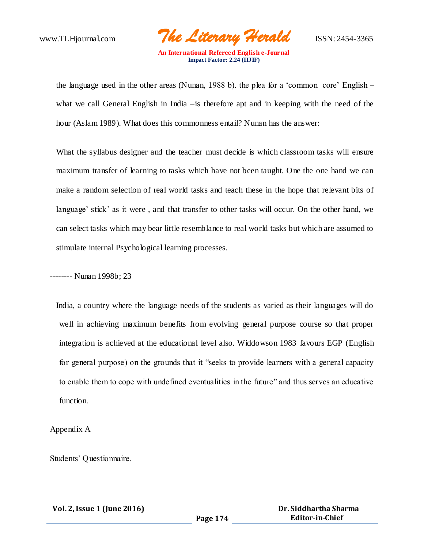www.TLHjournal.com *The Literary Herald*ISSN: 2454-3365

the language used in the other areas (Nunan, 1988 b). the plea for a 'common core' English – what we call General English in India –is therefore apt and in keeping with the need of the hour (Aslam 1989). What does this commonness entail? Nunan has the answer:

What the syllabus designer and the teacher must decide is which classroom tasks will ensure maximum transfer of learning to tasks which have not been taught. One the one hand we can make a random selection of real world tasks and teach these in the hope that relevant bits of language' stick' as it were , and that transfer to other tasks will occur. On the other hand, we can select tasks which may bear little resemblance to real world tasks but which are assumed to stimulate internal Psychological learning processes.

-------- Nunan 1998b; 23

India, a country where the language needs of the students as varied as their languages will do well in achieving maximum benefits from evolving general purpose course so that proper integration is achieved at the educational level also. Widdowson 1983 favours EGP (English for general purpose) on the grounds that it "seeks to provide learners with a general capacity to enable them to cope with undefined eventualities in the future" and thus serves an educative function.

Appendix A

Students' Questionnaire.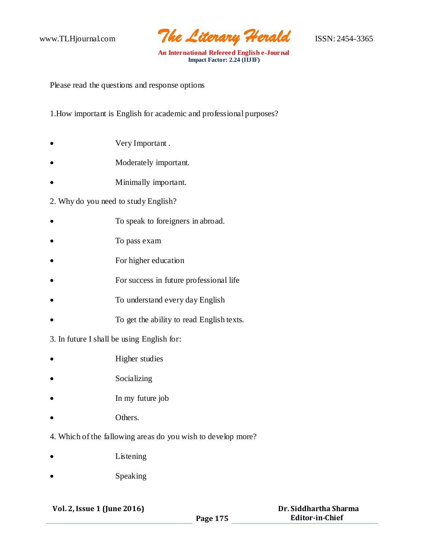

Please read the questions and response options

1.How important is English for academic and professional purposes?

- Very Important .
- Moderately important.
- Minimally important.

## 2. Why do you need to study English?

- To speak to foreigners in abroad.
- To pass exam
- For higher education
- For success in future professional life
- To understand every day English
- To get the ability to read English texts.
- 3. In future I shall be using English for:
- Higher studies
- Socializing
- In my future job
- Others.
- 4. Which of the fallowing areas do you wish to develop more?
- Listening
- Speaking

#### **Vol. 2, Issue 1 (June 2016)**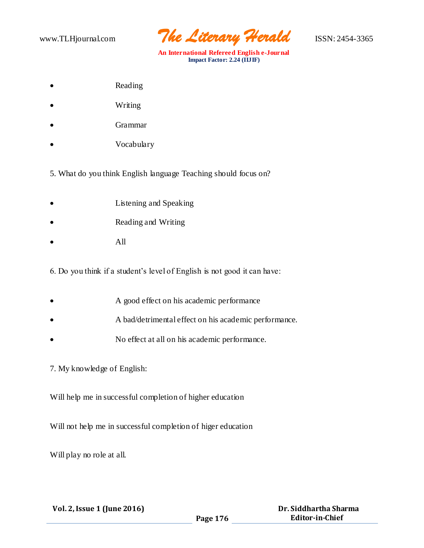www.TLHjournal.com *The Literary Herald*ISSN: 2454-3365

- Reading
- Writing
- Grammar
- Vocabulary
- 5. What do you think English language Teaching should focus on?
- Listening and Speaking
- Reading and Writing
- All

6. Do you think if a student's level of English is not good it can have:

- A good effect on his academic performance
- A bad/detrimental effect on his academic performance.
- No effect at all on his academic performance.

#### 7. My knowledge of English:

Will help me in successful completion of higher education

Will not help me in successful completion of higer education

Will play no role at all.

| Vol. 2, Issue 1 (June 2016) |  |
|-----------------------------|--|
|-----------------------------|--|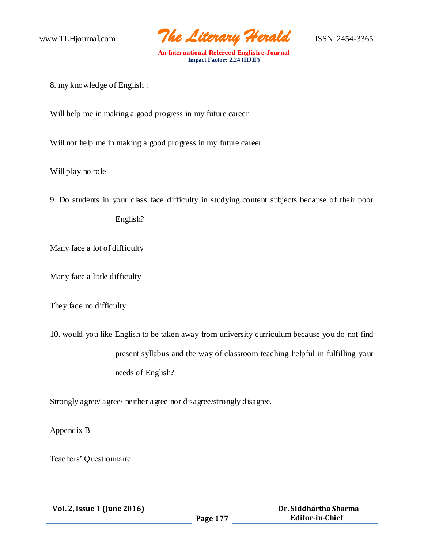www.TLHjournal.com *The Literary Herald*ISSN: 2454-3365

8. my knowledge of English :

Will help me in making a good progress in my future career

Will not help me in making a good progress in my future career

Will play no role

9. Do students in your class face difficulty in studying content subjects because of their poor

English?

Many face a lot of difficulty

Many face a little difficulty

They face no difficulty

10. would you like English to be taken away from university curriculum because you do not find present syllabus and the way of classroom teaching helpful in fulfilling your needs of English?

Strongly agree/ agree/ neither agree nor disagree/strongly disagree.

Appendix B

Teachers' Questionnaire.

| Vol. 2, Issue 1 (June 2016) |          | Dr. Siddhartha Sharma  |
|-----------------------------|----------|------------------------|
|                             | Page 177 | <b>Editor-in-Chief</b> |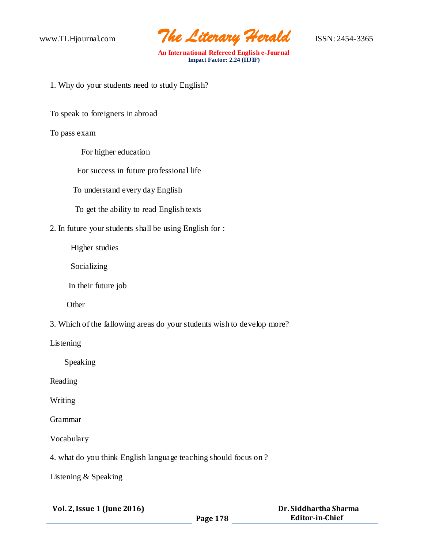www.TLHjournal.com *The Literary Herald*ISSN: 2454-3365

1. Why do your students need to study English?

To speak to foreigners in abroad

### To pass exam

For higher education

For success in future professional life

To understand every day English

To get the ability to read English texts

2. In future your students shall be using English for :

Higher studies

Socializing

In their future job

**Other** 

3. Which of the fallowing areas do your students wish to develop more?

Listening

Speaking

Reading

Writing

Grammar

Vocabulary

4. what do you think English language teaching should focus on ?

Listening & Speaking

| Vol. 2, Issue 1 (June 2016) |          | Dr. Siddhartha Sharma |
|-----------------------------|----------|-----------------------|
|                             | Page 178 | Editor-in-Chief       |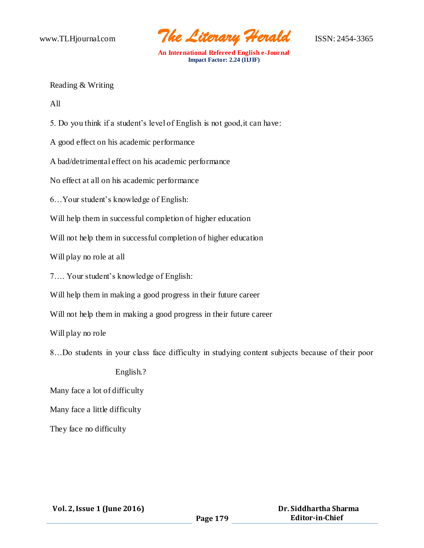www.TLHjournal.com *The Literary Herald*ISSN: 2454-3365

Reading & Writing

All

5. Do you think if a student's level of English is not good,it can have:

A good effect on his academic performance

A bad/detrimental effect on his academic performance

No effect at all on his academic performance

6…Your student's knowledge of English:

Will help them in successful completion of higher education

Will not help them in successful completion of higher education

Will play no role at all

7…. Your student's knowledge of English:

Will help them in making a good progress in their future career

Will not help them in making a good progress in their future career

Will play no role

8…Do students in your class face difficulty in studying content subjects because of their poor

English.?

Many face a lot of difficulty

Many face a little difficulty

They face no difficulty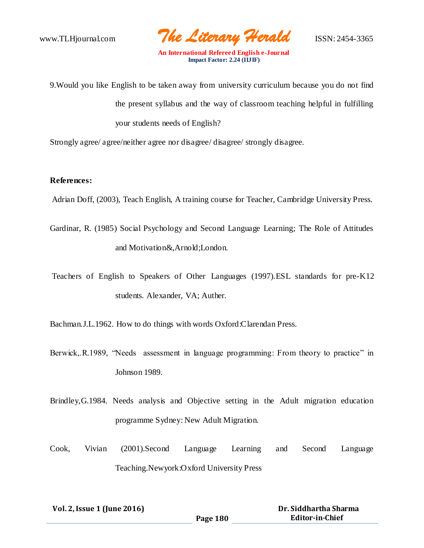www.TLHjournal.com *The Literary Herald*ISSN: 2454-3365

- 9.Would you like English to be taken away from university curriculum because you do not find the present syllabus and the way of classroom teaching helpful in fulfilling your students needs of English?
- Strongly agree/ agree/neither agree nor disagree/ disagree/ strongly disagree.

## **References:**

- Adrian Doff, (2003), Teach English, A training course for Teacher, Cambridge University Press.
- Gardinar, R. (1985) Social Psychology and Second Language Learning; The Role of Attitudes and Motivation&,Arnold;London.
- Teachers of English to Speakers of Other Languages (1997).ESL standards for pre-K12 students. Alexander, VA; Auther.

Bachman.J.L.1962. How to do things with words Oxford:Clarendan Press.

- Berwick, R.1989, "Needs assessment in language programming: From theory to practice" in Johnson 1989.
- Brindley,G.1984. Needs analysis and Objective setting in the Adult migration education programme Sydney: New Adult Migration.
- Cook, Vivian (2001).Second Language Learning and Second Language Teaching.Newyork:Oxford University Press

| Vol. 2, Issue 1 (June 2016) |          | Dr. Siddhartha Sharma  |
|-----------------------------|----------|------------------------|
|                             | Page 180 | <b>Editor-in-Chief</b> |